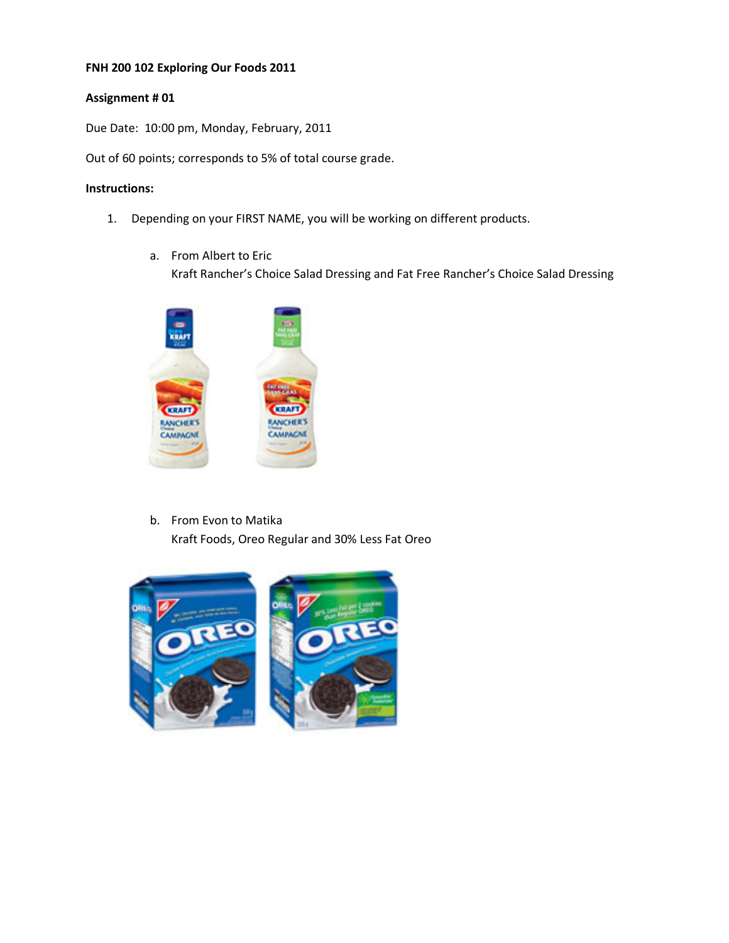## **FNH 200 102 Exploring Our Foods 2011**

## **Assignment # 01**

Due Date: 10:00 pm, Monday, February, 2011

Out of 60 points; corresponds to 5% of total course grade.

## **Instructions:**

- 1. Depending on your FIRST NAME, you will be working on different products.
	- a. From Albert to Eric

Kraft Rancher's Choice Salad Dressing and Fat Free Rancher's Choice Salad Dressing



b. From Evon to Matika Kraft Foods, Oreo Regular and 30% Less Fat Oreo